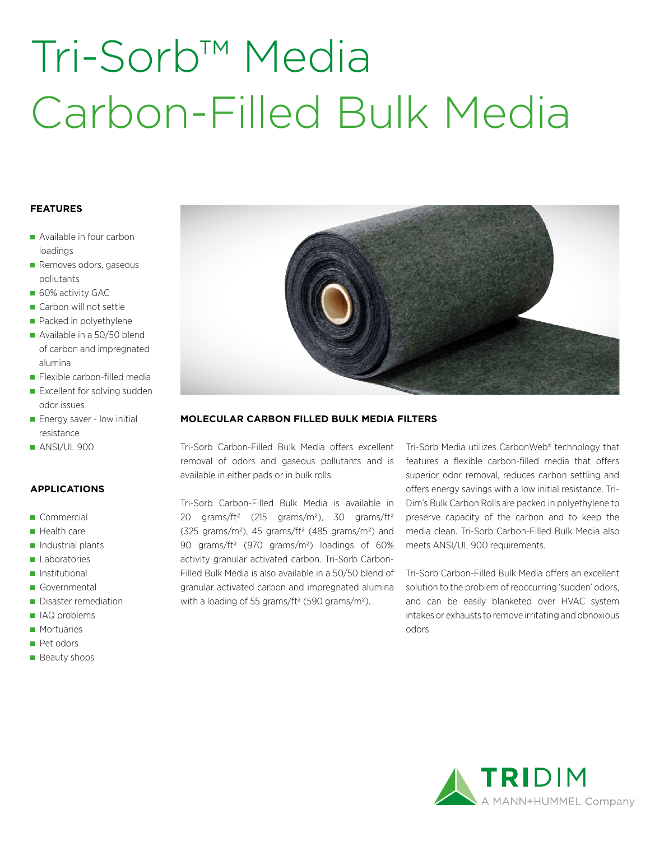# Tri-Sorb™ Media Carbon-Filled Bulk Media

#### **FEATURES**

- Available in four carbon loadings
- Removes odors, gaseous pollutants
- 60% activity GAC
- Carbon will not settle
- Packed in polyethylene
- Available in a 50/50 blend of carbon and impregnated alumina
- **Flexible carbon-filled media**
- Excellent for solving sudden odor issues
- **Energy saver low initial** resistance
- **ANSI/UL 900**

#### **APPLICATIONS**

- Commercial
- Health care
- $\blacksquare$  Industrial plants
- **Laboratories**
- **Institutional**
- Governmental
- Disaster remediation
- IAQ problems
- **Mortuaries**
- **Pet odors**
- **Beauty shops**



#### **MOLECULAR CARBON FILLED BULK MEDIA FILTERS**

Tri-Sorb Carbon-Filled Bulk Media offers excellent removal of odors and gaseous pollutants and is available in either pads or in bulk rolls.

Tri-Sorb Carbon-Filled Bulk Media is available in 20 grams/ft<sup>2</sup> (215 grams/m<sup>2</sup>), 30 grams/ft<sup>2</sup> (325 grams/m<sup>2</sup>), 45 grams/ft<sup>2</sup> (485 grams/m<sup>2</sup>) and 90 grams/ft2 (970 grams/m2) loadings of 60% activity granular activated carbon. Tri-Sorb Carbon-Filled Bulk Media is also available in a 50/50 blend of granular activated carbon and impregnated alumina with a loading of 55 grams/ft<sup>2</sup> (590 grams/m<sup>2</sup>).

Tri-Sorb Media utilizes CarbonWeb® technology that features a flexible carbon-filled media that offers superior odor removal, reduces carbon settling and offers energy savings with a low initial resistance. Tri-Dim's Bulk Carbon Rolls are packed in polyethylene to preserve capacity of the carbon and to keep the media clean. Tri-Sorb Carbon-Filled Bulk Media also meets ANSI/UL 900 requirements.

Tri-Sorb Carbon-Filled Bulk Media offers an excellent solution to the problem of reoccurring 'sudden' odors, and can be easily blanketed over HVAC system intakes or exhausts to remove irritating and obnoxious odors.